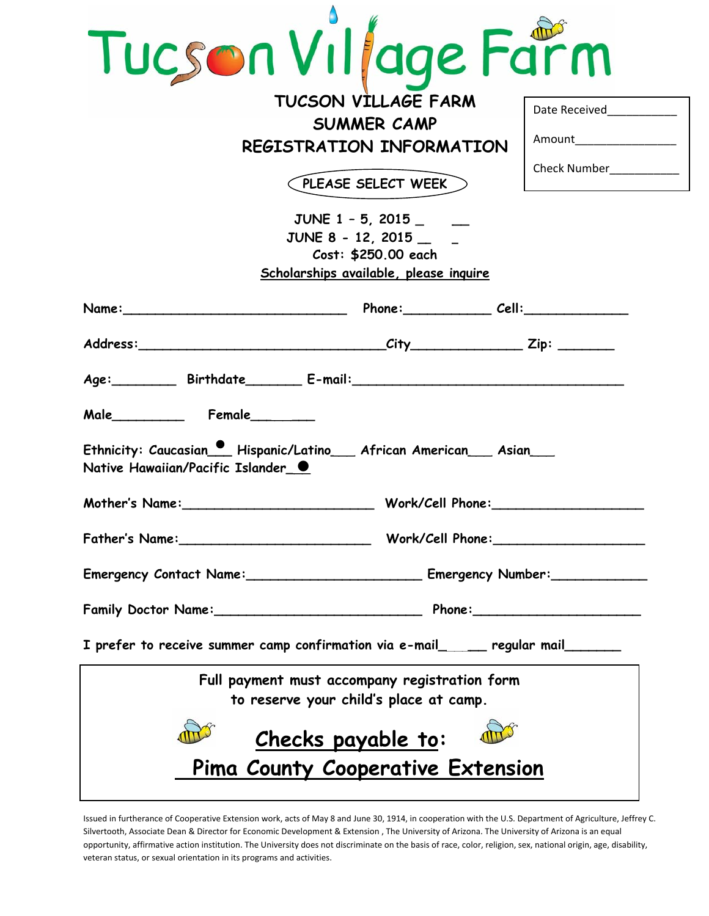| Tucson Village Farm                                                                                              |                          |  |  |  |  |
|------------------------------------------------------------------------------------------------------------------|--------------------------|--|--|--|--|
| TUCSON VILLAGE FARM                                                                                              | Date Received            |  |  |  |  |
| <b>SUMMER CAMP</b>                                                                                               | Amount__________________ |  |  |  |  |
| <b>REGISTRATION INFORMATION</b>                                                                                  |                          |  |  |  |  |
| PLEASE SELECT WEEK                                                                                               | Check Number___________  |  |  |  |  |
| JUNE 1 - 5, 2015<br>JUNE 8 - 12, 2015<br>Cost: \$250.00 each<br>Scholarships available, please inquire           |                          |  |  |  |  |
| Name: Cell: Cell:                                                                                                |                          |  |  |  |  |
|                                                                                                                  |                          |  |  |  |  |
| Age: Birthdate E-mail: E-mail:                                                                                   |                          |  |  |  |  |
| $\Box$ Female_<br>Male                                                                                           |                          |  |  |  |  |
| Ethnicity: Caucasian   1 Hispanic/Latino   African American   Asian  <br>Native Hawaiian/Pacific Islander (0)    |                          |  |  |  |  |
|                                                                                                                  |                          |  |  |  |  |
|                                                                                                                  |                          |  |  |  |  |
| Emergency Contact Name: ________________________________ Emergency Number: _________________________             |                          |  |  |  |  |
|                                                                                                                  |                          |  |  |  |  |
| I prefer to receive summer camp confirmation via e-mail $\boxed{\phantom{a}}$ regular mail $\boxed{\phantom{a}}$ |                          |  |  |  |  |
| Full payment must accompany registration form<br>to reserve your child's place at camp.                          |                          |  |  |  |  |
| Checks payable to:                                                                                               |                          |  |  |  |  |
| Pima County Cooperative Extension                                                                                |                          |  |  |  |  |

Issued in furtherance of Cooperative Extension work, acts of May 8 and June 30, 1914, in cooperation with the U.S. Department of Agriculture, Jeffrey C. Silvertooth, Associate Dean & Director for Economic Development & Extension , The University of Arizona. The University of Arizona is an equal opportunity, affirmative action institution. The University does not discriminate on the basis of race, color, religion, sex, national origin, age, disability, veteran status, or sexual orientation in its programs and activities.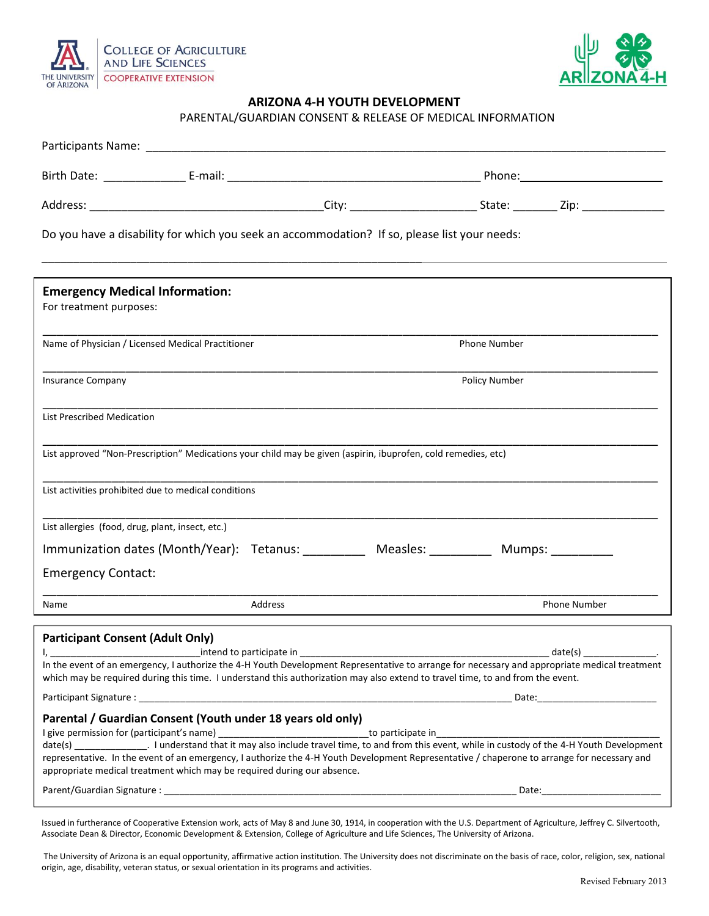



# OF ARIZONA **CONSUMERTY CONSUMING A SERVICE AREA CONSUMING A 4-H YOUTH DEVELOPMENT**

PARENTAL/GUARDIAN CONSENT & RELEASE OF MEDICAL INFORMATION

|                                                                  |                                                                         |         | Do you have a disability for which you seek an accommodation? If so, please list your needs:                                   |               |                                                                                                                                                                                 |  |  |
|------------------------------------------------------------------|-------------------------------------------------------------------------|---------|--------------------------------------------------------------------------------------------------------------------------------|---------------|---------------------------------------------------------------------------------------------------------------------------------------------------------------------------------|--|--|
| <b>Emergency Medical Information:</b><br>For treatment purposes: |                                                                         |         |                                                                                                                                |               |                                                                                                                                                                                 |  |  |
| Name of Physician / Licensed Medical Practitioner                |                                                                         |         |                                                                                                                                | Phone Number  |                                                                                                                                                                                 |  |  |
| Insurance Company                                                |                                                                         |         |                                                                                                                                | Policy Number |                                                                                                                                                                                 |  |  |
| <b>List Prescribed Medication</b>                                |                                                                         |         |                                                                                                                                |               |                                                                                                                                                                                 |  |  |
|                                                                  |                                                                         |         | List approved "Non-Prescription" Medications your child may be given (aspirin, ibuprofen, cold remedies, etc)                  |               |                                                                                                                                                                                 |  |  |
|                                                                  | List activities prohibited due to medical conditions                    |         |                                                                                                                                |               |                                                                                                                                                                                 |  |  |
| List allergies (food, drug, plant, insect, etc.)                 |                                                                         |         |                                                                                                                                |               |                                                                                                                                                                                 |  |  |
|                                                                  |                                                                         |         | Immunization dates (Month/Year): Tetanus: Measles: Measles: Mumps: Mumps:                                                      |               |                                                                                                                                                                                 |  |  |
| <b>Emergency Contact:</b>                                        |                                                                         |         |                                                                                                                                |               |                                                                                                                                                                                 |  |  |
| Name                                                             |                                                                         | Address |                                                                                                                                |               | Phone Number                                                                                                                                                                    |  |  |
| <b>Participant Consent (Adult Only)</b>                          |                                                                         |         | which may be required during this time. I understand this authorization may also extend to travel time, to and from the event. |               | $date(s)$ ___________________.<br>In the event of an emergency, I authorize the 4-H Youth Development Representative to arrange for necessary and appropriate medical treatment |  |  |
|                                                                  | Parental / Guardian Consent (Youth under 18 years old only)             |         |                                                                                                                                |               |                                                                                                                                                                                 |  |  |
|                                                                  | appropriate medical treatment which may be required during our absence. |         |                                                                                                                                |               | representative. In the event of an emergency, I authorize the 4-H Youth Development Representative / chaperone to arrange for necessary and                                     |  |  |
| Date:                                                            |                                                                         |         |                                                                                                                                |               |                                                                                                                                                                                 |  |  |

Issued in furtherance of Cooperative Extension work, acts of May 8 and June 30, 1914, in cooperation with the U.S. Department of Agriculture, Jeffrey C. Silvertooth, Associate Dean & Director, Economic Development & Extension, College of Agriculture and Life Sciences, The University of Arizona.

The University of Arizona is an equal opportunity, affirmative action institution. The University does not discriminate on the basis of race, color, religion, sex, national origin, age, disability, veteran status, or sexual orientation in its programs and activities.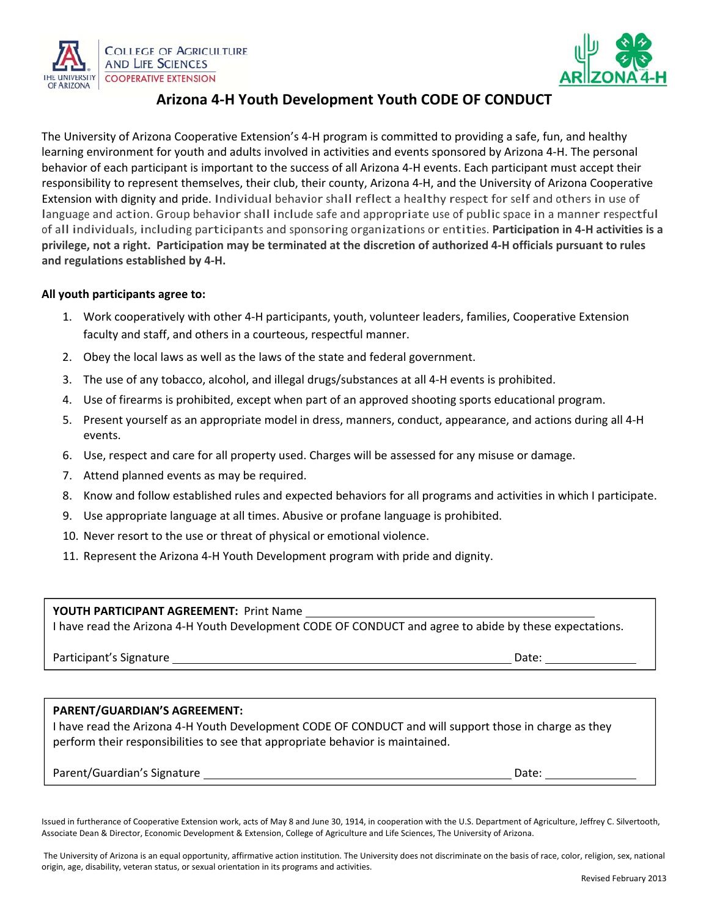



# **ARIZONA Arizona Arizona 4-H Youth Development Youth CODE OF CONDUCT**

The University of Arizona Cooperative Extension's 4-H program is committed to providing a safe, fun, and healthy learning environment for youth and adults involved in activities and events sponsored by Arizona 4-H. The personal behavior of each participant is important to the success of all Arizona 4-H events. Each participant must accept their responsibility to represent themselves, their club, their county, Arizona 4-H, and the University of Arizona Cooperative Extension with dignity and pride. Individual behavior shall reflect a healthy respect for self and others in use of language and action. Group behavior shall include safe and appropriate use of public space in a manner respectful of all individuals, including participants and sponsoring organizations or entities. **Participation in 4ͲH activities is a** privilege, not a right. Participation may be terminated at the discretion of authorized 4-H officials pursuant to rules **and regulations established by 4ͲH.**

### **All youth participants agree to:**

- 1. Work cooperatively with other 4-H participants, youth, volunteer leaders, families, Cooperative Extension faculty and staff, and others in a courteous, respectful manner.
- 2. Obey the local laws as well as the laws of the state and federal government.
- 3. The use of any tobacco, alcohol, and illegal drugs/substances at all 4-H events is prohibited.
- 4. Use of firearms is prohibited, except when part of an approved shooting sports educational program.
- 5. Present yourself as an appropriate model in dress, manners, conduct, appearance, and actions during all 4-H events.
- 6. Use, respect and care for all property used. Charges will be assessed for any misuse or damage.
- 7. Attend planned events as may be required.
- 8. Know and follow established rules and expected behaviors for all programs and activities in which I participate.
- 9. Use appropriate language at all times. Abusive or profane language is prohibited.
- 10. Never resort to the use or threat of physical or emotional violence.
- 11. Represent the Arizona 4-H Youth Development program with pride and dignity.

### YOUTH PARTICIPANT AGREEMENT: Print Name

I have read the Arizona 4-H Youth Development CODE OF CONDUCT and agree to abide by these expectations.

Participant's Signature Date:

 $\overline{a}$ 

#### **PARENT/GUARDIAN'S AGREEMENT:**

I have read the Arizona 4-H Youth Development CODE OF CONDUCT and will support those in charge as they perform their responsibilities to see that appropriate behavior is maintained.

Parent/Guardian's Signature Date:

Issued in furtherance of Cooperative Extension work, acts of May 8 and June 30, 1914, in cooperation with the U.S. Department of Agriculture, Jeffrey C. Silvertooth, Associate Dean & Director, Economic Development & Extension, College of Agriculture and Life Sciences, The University of Arizona.

The University of Arizona is an equal opportunity, affirmative action institution. The University does not discriminate on the basis of race, color, religion, sex, national origin, age, disability, veteran status, or sexual orientation in its programs and activities.